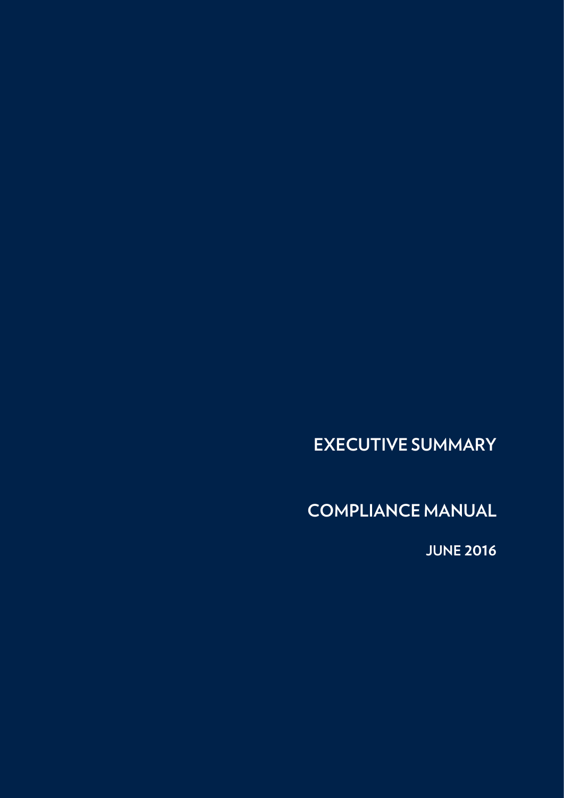**EXECUTIVE SUMMARY**

**COMPLIANCE MANUAL**

**JUNE 2016**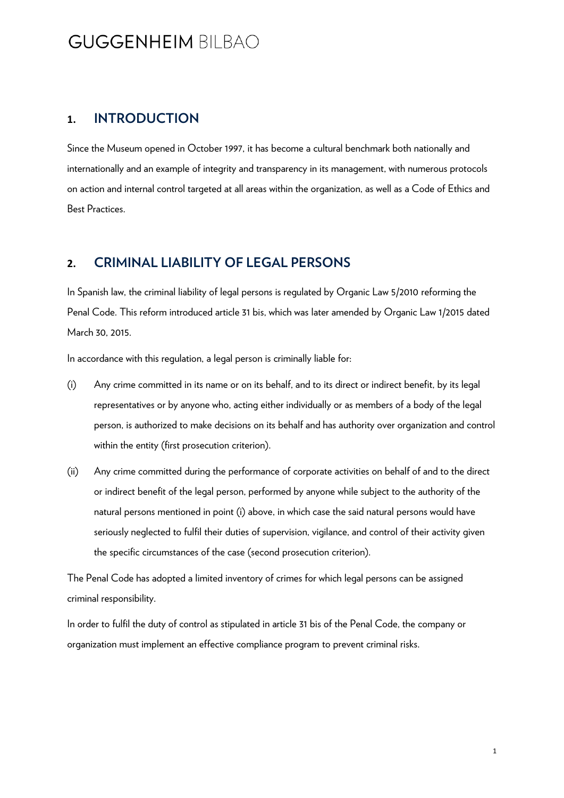#### **1. INTRODUCTION**

Since the Museum opened in October 1997, it has become a cultural benchmark both nationally and internationally and an example of integrity and transparency in its management, with numerous protocols on action and internal control targeted at all areas within the organization, as well as a Code of Ethics and Best Practices.

#### **2. CRIMINAL LIABILITY OF LEGAL PERSONS**

In Spanish law, the criminal liability of legal persons is regulated by Organic Law 5/2010 reforming the Penal Code. This reform introduced article 31 bis, which was later amended by Organic Law 1/2015 dated March 30, 2015.

In accordance with this regulation, a legal person is criminally liable for:

- (i) Any crime committed in its name or on its behalf, and to its direct or indirect benefit, by its legal representatives or by anyone who, acting either individually or as members of a body of the legal person, is authorized to make decisions on its behalf and has authority over organization and control within the entity (first prosecution criterion).
- (ii) Any crime committed during the performance of corporate activities on behalf of and to the direct or indirect benefit of the legal person, performed by anyone while subject to the authority of the natural persons mentioned in point (i) above, in which case the said natural persons would have seriously neglected to fulfil their duties of supervision, vigilance, and control of their activity given the specific circumstances of the case (second prosecution criterion).

The Penal Code has adopted a limited inventory of crimes for which legal persons can be assigned criminal responsibility.

In order to fulfil the duty of control as stipulated in article 31 bis of the Penal Code, the company or organization must implement an effective compliance program to prevent criminal risks.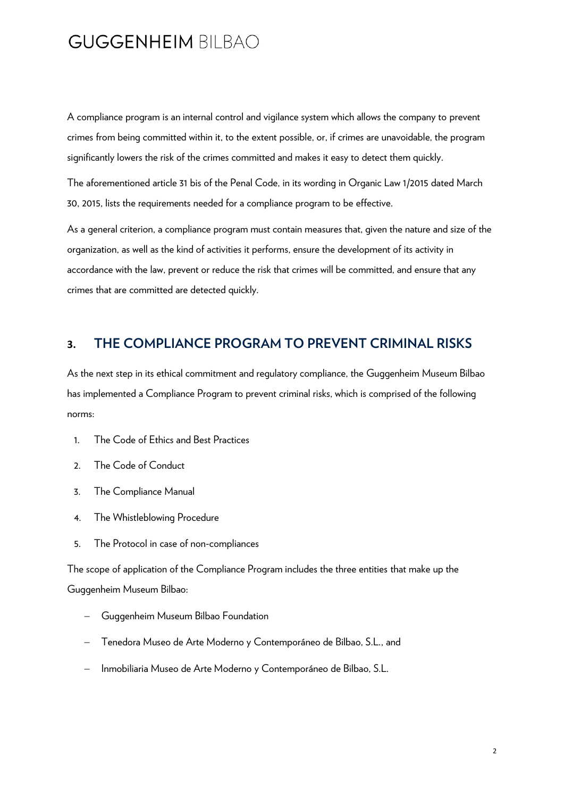A compliance program is an internal control and vigilance system which allows the company to prevent crimes from being committed within it, to the extent possible, or, if crimes are unavoidable, the program significantly lowers the risk of the crimes committed and makes it easy to detect them quickly.

The aforementioned article 31 bis of the Penal Code, in its wording in Organic Law 1/2015 dated March 30, 2015, lists the requirements needed for a compliance program to be effective.

As a general criterion, a compliance program must contain measures that, given the nature and size of the organization, as well as the kind of activities it performs, ensure the development of its activity in accordance with the law, prevent or reduce the risk that crimes will be committed, and ensure that any crimes that are committed are detected quickly.

#### **3. THE COMPLIANCE PROGRAM TO PREVENT CRIMINAL RISKS**

As the next step in its ethical commitment and regulatory compliance, the Guggenheim Museum Bilbao has implemented a Compliance Program to prevent criminal risks, which is comprised of the following norms:

- 1. The Code of Ethics and Best Practices
- 2. The Code of Conduct
- 3. The Compliance Manual
- 4. The Whistleblowing Procedure
- 5. The Protocol in case of non-compliances

The scope of application of the Compliance Program includes the three entities that make up the Guggenheim Museum Bilbao:

- Guggenheim Museum Bilbao Foundation
- Tenedora Museo de Arte Moderno y Contemporáneo de Bilbao, S.L., and
- Inmobiliaria Museo de Arte Moderno y Contemporáneo de Bilbao, S.L.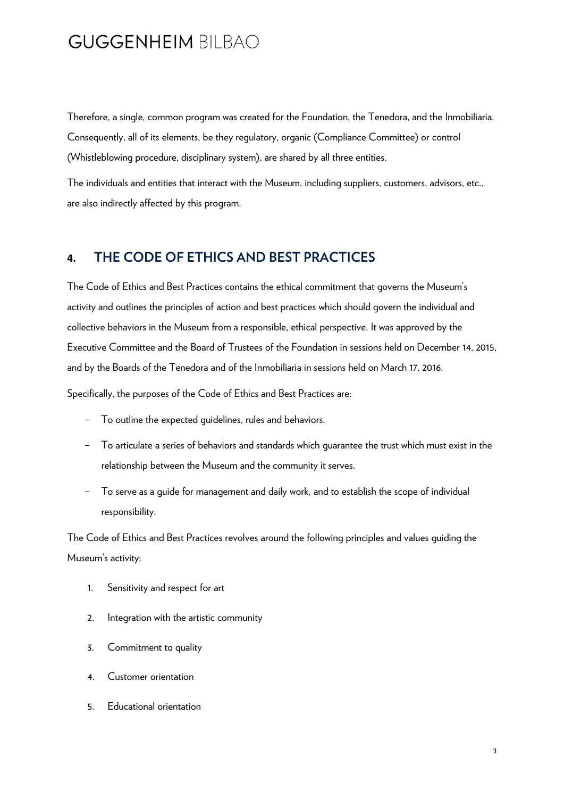Therefore, a single, common program was created for the Foundation, the Tenedora, and the Inmobiliaria. Consequently, all of its elements, be they regulatory, organic (Compliance Committee) or control (Whistleblowing procedure, disciplinary system), are shared by all three entities.

The individuals and entities that interact with the Museum, including suppliers, customers, advisors, etc., are also indirectly affected by this program.

### **4. THE CODE OF ETHICS AND BEST PRACTICES**

The Code of Ethics and Best Practices contains the ethical commitment that governs the Museum's activity and outlines the principles of action and best practices which should govern the individual and collective behaviors in the Museum from a responsible, ethical perspective. It was approved by the Executive Committee and the Board of Trustees of the Foundation in sessions held on December 14, 2015, and by the Boards of the Tenedora and of the Inmobiliaria in sessions held on March 17, 2016.

Specifically, the purposes of the Code of Ethics and Best Practices are:

- To outline the expected guidelines, rules and behaviors.
- To articulate a series of behaviors and standards which guarantee the trust which must exist in the relationship between the Museum and the community it serves.
- To serve as a guide for management and daily work, and to establish the scope of individual responsibility.

The Code of Ethics and Best Practices revolves around the following principles and values guiding the Museum's activity:

- 1. Sensitivity and respect for art
- 2. Integration with the artistic community
- 3. Commitment to quality
- 4. Customer orientation
- 5. Educational orientation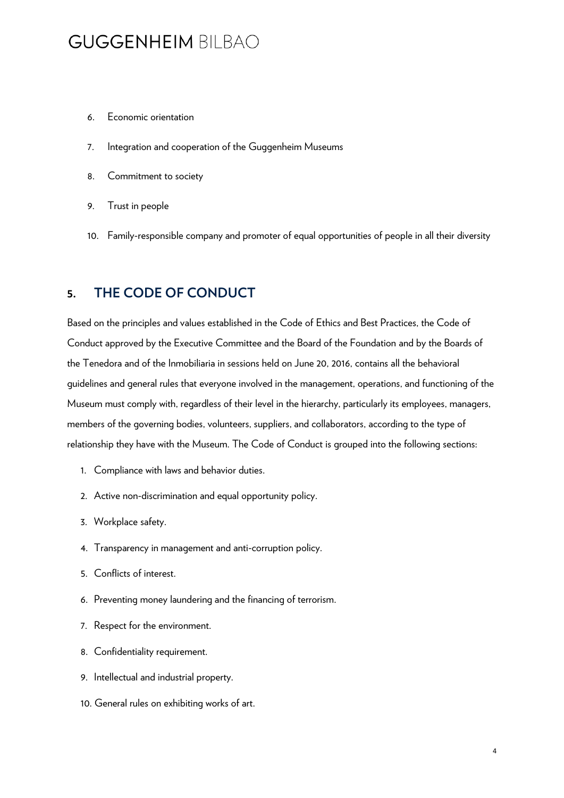- 6. Economic orientation
- 7. Integration and cooperation of the Guggenheim Museums
- 8. Commitment to society
- 9. Trust in people
- 10. Family-responsible company and promoter of equal opportunities of people in all their diversity

#### **5. THE CODE OF CONDUCT**

Based on the principles and values established in the Code of Ethics and Best Practices, the Code of Conduct approved by the Executive Committee and the Board of the Foundation and by the Boards of the Tenedora and of the Inmobiliaria in sessions held on June 20, 2016, contains all the behavioral guidelines and general rules that everyone involved in the management, operations, and functioning of the Museum must comply with, regardless of their level in the hierarchy, particularly its employees, managers, members of the governing bodies, volunteers, suppliers, and collaborators, according to the type of relationship they have with the Museum. The Code of Conduct is grouped into the following sections:

- 1. Compliance with laws and behavior duties.
- 2. Active non-discrimination and equal opportunity policy.
- 3. Workplace safety.
- 4. Transparency in management and anti-corruption policy.
- 5. Conflicts of interest.
- 6. Preventing money laundering and the financing of terrorism.
- 7. Respect for the environment.
- 8. Confidentiality requirement.
- 9. Intellectual and industrial property.
- 10. General rules on exhibiting works of art.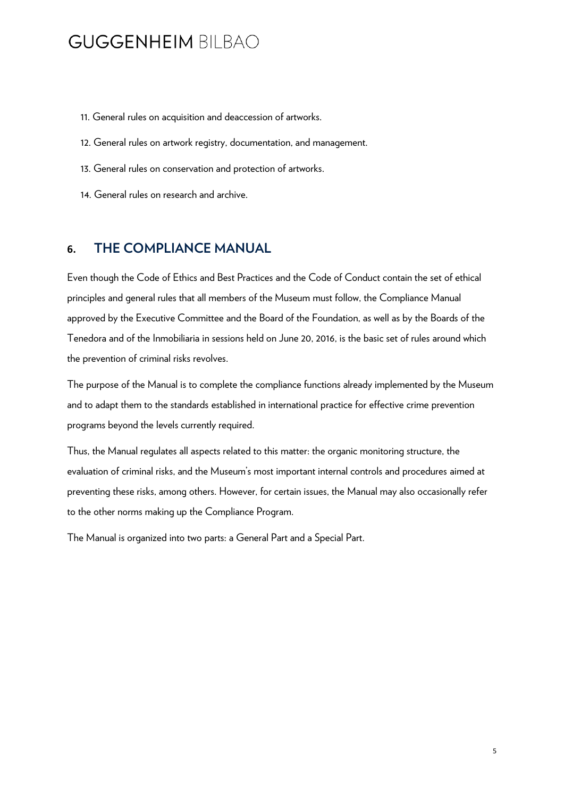- 11. General rules on acquisition and deaccession of artworks.
- 12. General rules on artwork registry, documentation, and management.
- 13. General rules on conservation and protection of artworks.
- 14. General rules on research and archive.

### **6. THE COMPLIANCE MANUAL**

Even though the Code of Ethics and Best Practices and the Code of Conduct contain the set of ethical principles and general rules that all members of the Museum must follow, the Compliance Manual approved by the Executive Committee and the Board of the Foundation, as well as by the Boards of the Tenedora and of the Inmobiliaria in sessions held on June 20, 2016, is the basic set of rules around which the prevention of criminal risks revolves.

The purpose of the Manual is to complete the compliance functions already implemented by the Museum and to adapt them to the standards established in international practice for effective crime prevention programs beyond the levels currently required.

Thus, the Manual regulates all aspects related to this matter: the organic monitoring structure, the evaluation of criminal risks, and the Museum's most important internal controls and procedures aimed at preventing these risks, among others. However, for certain issues, the Manual may also occasionally refer to the other norms making up the Compliance Program.

The Manual is organized into two parts: a General Part and a Special Part.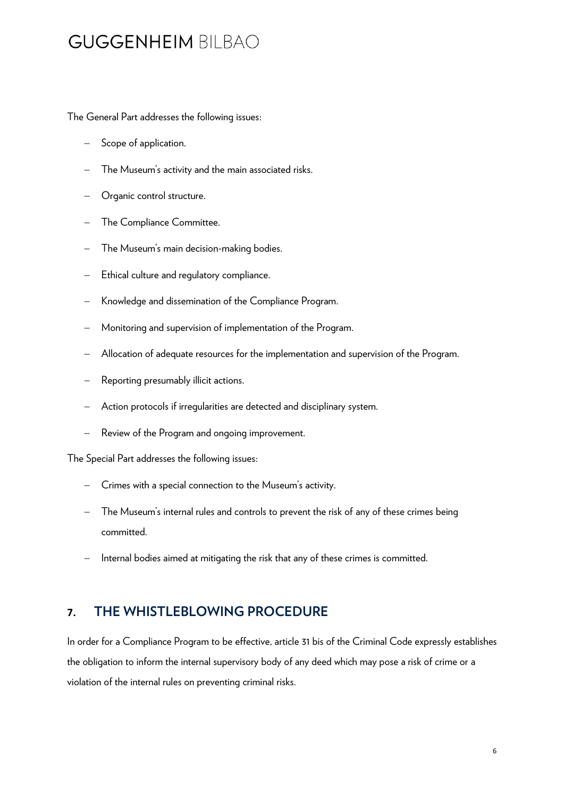The General Part addresses the following issues:

- Scope of application.
- The Museum's activity and the main associated risks.
- Organic control structure.
- The Compliance Committee.
- The Museum's main decision-making bodies.
- Ethical culture and regulatory compliance.
- Knowledge and dissemination of the Compliance Program.
- Monitoring and supervision of implementation of the Program.
- Allocation of adequate resources for the implementation and supervision of the Program.
- Reporting presumably illicit actions.
- Action protocols if irregularities are detected and disciplinary system.
- Review of the Program and ongoing improvement.

The Special Part addresses the following issues:

- Crimes with a special connection to the Museum's activity.
- The Museum's internal rules and controls to prevent the risk of any of these crimes being committed.
- Internal bodies aimed at mitigating the risk that any of these crimes is committed.

### **7. THE WHISTLEBLOWING PROCEDURE**

In order for a Compliance Program to be effective, article 31 bis of the Criminal Code expressly establishes the obligation to inform the internal supervisory body of any deed which may pose a risk of crime or a violation of the [internal rules on preventing criminal](http://intranet/es/despacho/organizacion/normasdespacho/deontologia/Paginas/programa-cumplimiento.aspx) risks.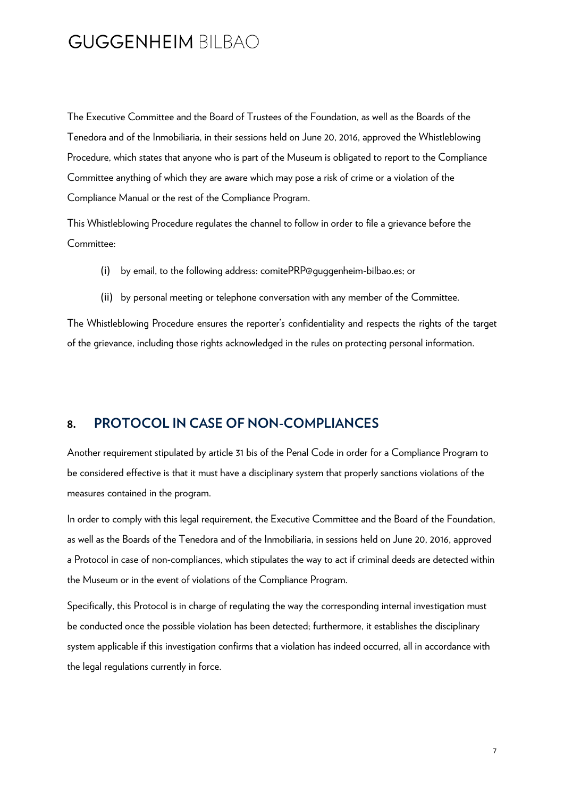The Executive Committee and the Board of Trustees of the Foundation, as well as the Boards of the Tenedora and of the Inmobiliaria, in their sessions held on June 20, 2016, approved the Whistleblowing Procedure, which states that anyone who is part of the Museum is obligated to report to the Compliance Committee anything of which they are aware which may pose a risk of crime or a violation of the Compliance Manual or the rest of the Compliance Program.

This Whistleblowing Procedure regulates the channel to follow in order to file a grievance before the Committee:

- (i) by email, to the following address: comitePRP@guggenheim-bilbao.es; or
- (ii) by personal meeting or telephone conversation with any member of the Committee.

The Whistleblowing Procedure ensures the reporter's confidentiality and respects the rights of the target of the grievance, including those rights acknowledged in the rules on protecting personal information.

### **8. PROTOCOL IN CASE OF NON-COMPLIANCES**

Another requirement stipulated by article 31 bis of the Penal Code in order for a Compliance Program to be considered effective is that it must have a disciplinary system that properly sanctions violations of the measures contained in the program.

In order to comply with this legal requirement, the Executive Committee and the Board of the Foundation, as well as the Boards of the Tenedora and of the Inmobiliaria, in sessions held on June 20, 2016, approved a Protocol in case of non-compliances, which stipulates the way to act if criminal deeds are detected within the Museum or in the event of violations of the Compliance Program.

Specifically, this Protocol is in charge of regulating the way the corresponding internal investigation must be conducted once the possible violation has been detected; furthermore, it establishes the disciplinary system applicable if this investigation confirms that a violation has indeed occurred, all in accordance with the legal regulations currently in force.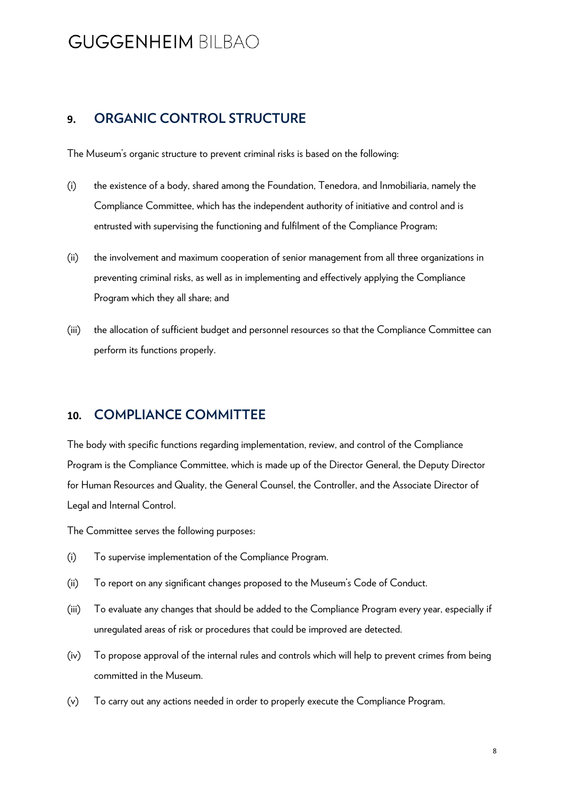### **9. ORGANIC CONTROL STRUCTURE**

The Museum's organic structure to prevent criminal risks is based on the following:

- (i) the existence of a body, shared among the Foundation, Tenedora, and Inmobiliaria, namely the Compliance Committee, which has the independent authority of initiative and control and is entrusted with supervising the functioning and fulfilment of the Compliance Program;
- (ii) the involvement and maximum cooperation of senior management from all three organizations in preventing criminal risks, as well as in implementing and effectively applying the Compliance Program which they all share; and
- (iii) the allocation of sufficient budget and personnel resources so that the Compliance Committee can perform its functions properly.

#### **10. COMPLIANCE COMMITTEE**

The body with specific functions regarding implementation, review, and control of the Compliance Program is the Compliance Committee, which is made up of the Director General, the Deputy Director for Human Resources and Quality, the General Counsel, the Controller, and the Associate Director of Legal and Internal Control.

The Committee serves the following purposes:

- (i) To supervise implementation of the Compliance Program.
- (ii) To report on any significant changes proposed to the Museum's Code of Conduct.
- (iii) To evaluate any changes that should be added to the Compliance Program every year, especially if unregulated areas of risk or procedures that could be improved are detected.
- (iv) To propose approval of the internal rules and controls which will help to prevent crimes from being committed in the Museum.
- (v) To carry out any actions needed in order to properly execute the Compliance Program.